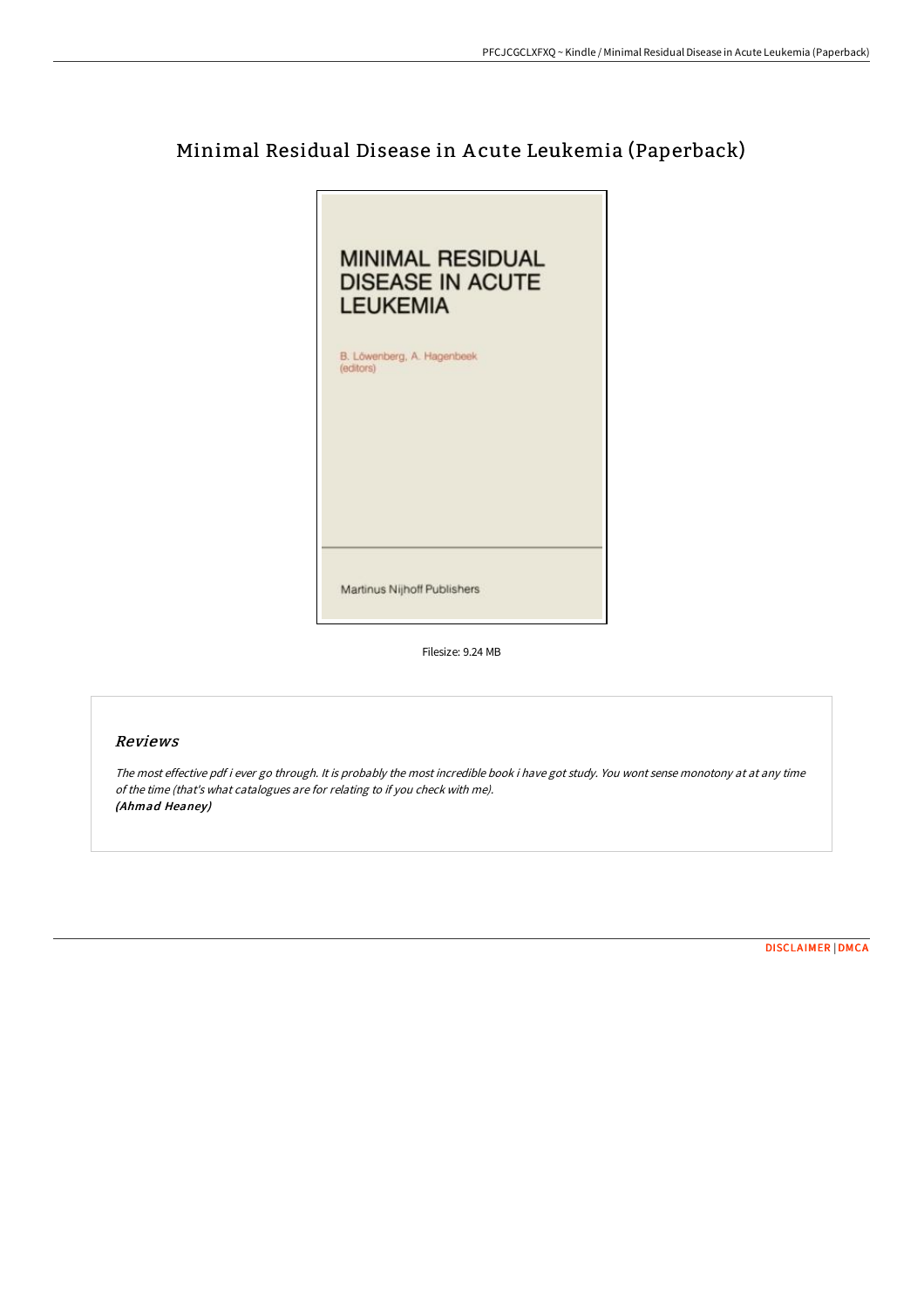# Minimal Residual Disease in A cute Leukemia (Paperback)



Filesize: 9.24 MB

### Reviews

The most effective pdf i ever go through. It is probably the most incredible book i have got study. You wont sense monotony at at any time of the time (that's what catalogues are for relating to if you check with me). (Ahmad Heaney)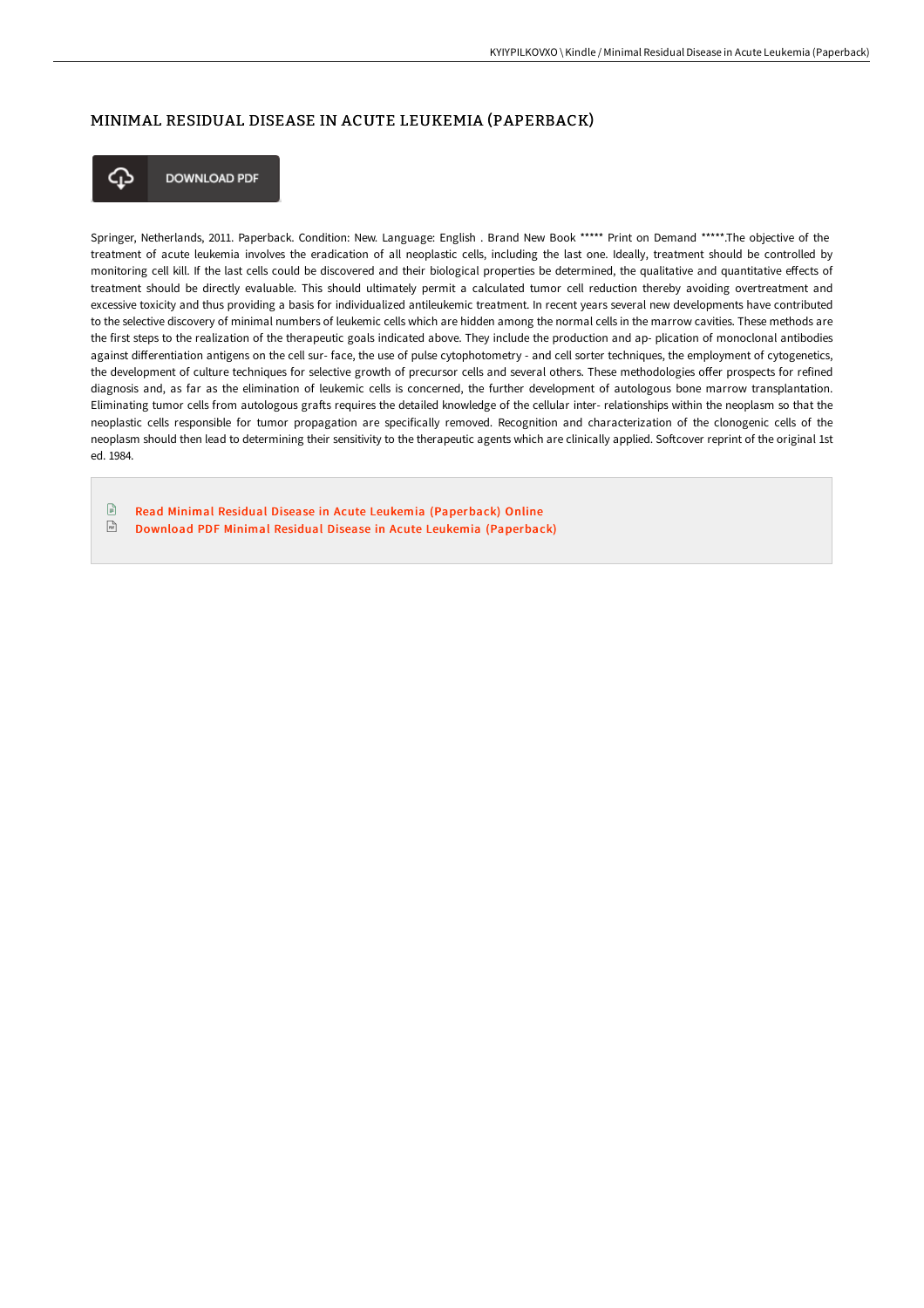### MINIMAL RESIDUAL DISEASE IN ACUTE LEUKEMIA (PAPERBACK)



**DOWNLOAD PDF** 

Springer, Netherlands, 2011. Paperback. Condition: New. Language: English . Brand New Book \*\*\*\*\* Print on Demand \*\*\*\*\*.The objective of the treatment of acute leukemia involves the eradication of all neoplastic cells, including the last one. Ideally, treatment should be controlled by monitoring cell kill. If the last cells could be discovered and their biological properties be determined, the qualitative and quantitative effects of treatment should be directly evaluable. This should ultimately permit a calculated tumor cell reduction thereby avoiding overtreatment and excessive toxicity and thus providing a basis for individualized antileukemic treatment. In recent years several new developments have contributed to the selective discovery of minimal numbers of leukemic cells which are hidden among the normal cells in the marrow cavities. These methods are the first steps to the realization of the therapeutic goals indicated above. They include the production and ap- plication of monoclonal antibodies against differentiation antigens on the cell sur- face, the use of pulse cytophotometry - and cell sorter techniques, the employment of cytogenetics, the development of culture techniques for selective growth of precursor cells and several others. These methodologies offer prospects for refined diagnosis and, as far as the elimination of leukemic cells is concerned, the further development of autologous bone marrow transplantation. Eliminating tumor cells from autologous grafts requires the detailed knowledge of the cellular inter- relationships within the neoplasm so that the neoplastic cells responsible for tumor propagation are specifically removed. Recognition and characterization of the clonogenic cells of the neoplasm should then lead to determining their sensitivity to the therapeutic agents which are clinically applied. Softcover reprint of the original 1st ed. 1984.

Read Minimal Residual Disease in Acute Leukemia [\(Paperback\)](http://techno-pub.tech/minimal-residual-disease-in-acute-leukemia-paper.html) Online  $\sqrt{\frac{1}{n}}$ Download PDF Minimal Residual Disease in Acute Leukemia [\(Paperback\)](http://techno-pub.tech/minimal-residual-disease-in-acute-leukemia-paper.html)